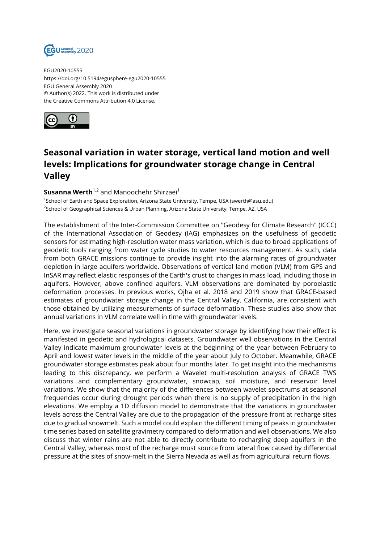

EGU2020-10555 https://doi.org/10.5194/egusphere-egu2020-10555 EGU General Assembly 2020 © Author(s) 2022. This work is distributed under the Creative Commons Attribution 4.0 License.



## **Seasonal variation in water storage, vertical land motion and well levels: Implications for groundwater storage change in Central Valley**

## **Susanna Werth**<sup>1,2</sup> and Manoochehr Shirzaei<sup>1</sup>

1 School of Earth and Space Exploration, Arizona State University, Tempe, USA (swerth@asu.edu) <sup>2</sup>School of Geographical Sciences & Urban Planning, Arizona State University, Tempe, AZ, USA

The establishment of the Inter-Commission Committee on "Geodesy for Climate Research" (ICCC) of the International Association of Geodesy (IAG) emphasizes on the usefulness of geodetic sensors for estimating high-resolution water mass variation, which is due to broad applications of geodetic tools ranging from water cycle studies to water resources management. As such, data from both GRACE missions continue to provide insight into the alarming rates of groundwater depletion in large aquifers worldwide. Observations of vertical land motion (VLM) from GPS and InSAR may reflect elastic responses of the Earth's crust to changes in mass load, including those in aquifers. However, above confined aquifers, VLM observations are dominated by poroelastic deformation processes. In previous works, Ojha et al. 2018 and 2019 show that GRACE-based estimates of groundwater storage change in the Central Valley, California, are consistent with those obtained by utilizing measurements of surface deformation. These studies also show that annual variations in VLM correlate well in time with groundwater levels.

Here, we investigate seasonal variations in groundwater storage by identifying how their effect is manifested in geodetic and hydrological datasets. Groundwater well observations in the Central Valley indicate maximum groundwater levels at the beginning of the year between February to April and lowest water levels in the middle of the year about July to October. Meanwhile, GRACE groundwater storage estimates peak about four months later. To get insight into the mechanisms leading to this discrepancy, we perform a Wavelet multi-resolution analysis of GRACE TWS variations and complementary groundwater, snowcap, soil moisture, and reservoir level variations. We show that the majority of the differences between wavelet spectrums at seasonal frequencies occur during drought periods when there is no supply of precipitation in the high elevations. We employ a 1D diffusion model to demonstrate that the variations in groundwater levels across the Central Valley are due to the propagation of the pressure front at recharge sites due to gradual snowmelt. Such a model could explain the different timing of peaks in groundwater time series based on satellite gravimetry compared to deformation and well observations. We also discuss that winter rains are not able to directly contribute to recharging deep aquifers in the Central Valley, whereas most of the recharge must source from lateral flow caused by differential pressure at the sites of snow-melt in the Sierra Nevada as well as from agricultural return flows.